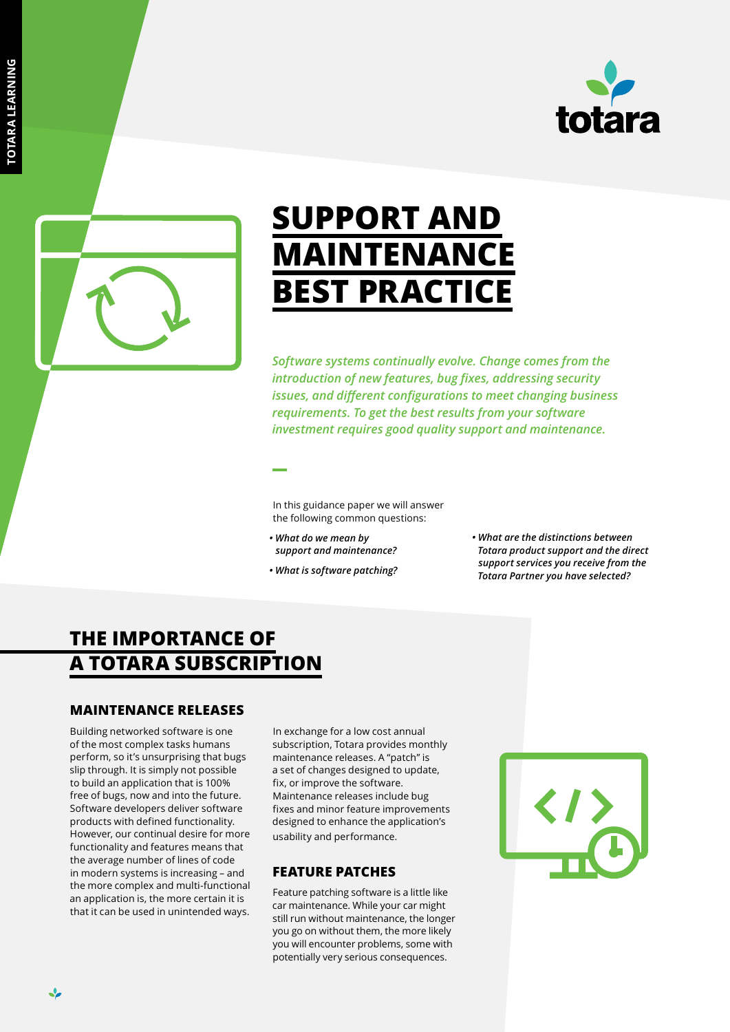



# **SUPPORT AND MAINTENANCE BEST PRACTICE**

*Software systems continually evolve. Change comes from the introduction of new features, bug fixes, addressing security issues, and different configurations to meet changing business requirements. To get the best results from your software investment requires good quality support and maintenance.* 

In this guidance paper we will answer the following common questions:

- *What do we mean by support and maintenance?*
- *What is software patching?*
- *What are the distinctions between Totara product support and the direct support services you receive from the Totara Partner you have selected?*

## **THE IMPORTANCE OF A TOTARA SUBSCRIPTION**

#### **MAINTENANCE RELEASES**

Building networked software is one of the most complex tasks humans perform, so it's unsurprising that bugs slip through. It is simply not possible to build an application that is 100% free of bugs, now and into the future. Software developers deliver software products with defined functionality. However, our continual desire for more functionality and features means that the average number of lines of code in modern systems is increasing – and the more complex and multi-functional an application is, the more certain it is that it can be used in unintended ways.

In exchange for a low cost annual subscription, Totara provides monthly maintenance releases. A "patch" is a set of changes designed to update, fix, or improve the software. Maintenance releases include bug fixes and minor feature improvements designed to enhance the application's usability and performance.

#### **FEATURE PATCHES**

Feature patching software is a little like car maintenance. While your car might still run without maintenance, the longer you go on without them, the more likely you will encounter problems, some with potentially very serious consequences.



❖